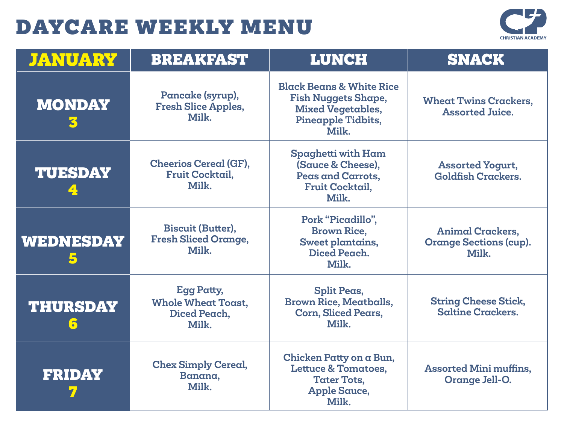

| <b>JANUARY</b>       | <b>BREAKFAST</b>                                                        | <b>LUNCH</b>                                                                                                                 | <b>SNACK</b>                                                      |
|----------------------|-------------------------------------------------------------------------|------------------------------------------------------------------------------------------------------------------------------|-------------------------------------------------------------------|
| <b>MONDAY</b><br>К   | Pancake (syrup),<br><b>Fresh Slice Apples,</b><br>Milk.                 | <b>Black Beans &amp; White Rice</b><br><b>Fish Nuggets Shape,</b><br><b>Mixed Vegetables,</b><br>Pineapple Tidbits,<br>Milk. | <b>Wheat Twins Crackers,</b><br><b>Assorted Juice.</b>            |
| <b>TUESDAY</b>       | <b>Cheerios Cereal (GF),</b><br><b>Fruit Cocktail,</b><br>Milk.         | Spaghetti with Ham<br>(Sauce & Cheese),<br>Peas and Carrots,<br><b>Fruit Cocktail,</b><br>Milk.                              | <b>Assorted Yogurt,</b><br><b>Goldfish Crackers.</b>              |
| WEDNESDAY            | <b>Biscuit (Butter),</b><br><b>Fresh Sliced Orange,</b><br>Milk.        | Pork "Picadillo",<br><b>Brown Rice,</b><br>Sweet plantains,<br>Diced Peach.<br>Milk.                                         | <b>Animal Crackers,</b><br><b>Orange Sections (cup).</b><br>Milk. |
| <b>THURSDAY</b><br>5 | <b>Egg Patty,</b><br><b>Whole Wheat Toast,</b><br>Diced Peach,<br>Milk. | <b>Split Peas,</b><br><b>Brown Rice, Meatballs,</b><br><b>Corn, Sliced Pears,</b><br>Milk.                                   | <b>String Cheese Stick,</b><br><b>Saltine Crackers.</b>           |
| <b>FRIDAY</b>        | <b>Chex Simply Cereal,</b><br>Banana,<br>Milk.                          | Chicken Patty on a Bun,<br><b>Lettuce &amp; Tomatoes,</b><br><b>Tater Tots,</b><br><b>Apple Sauce,</b><br>Milk.              | <b>Assorted Mini muffins,</b><br>Orange Jell-O.                   |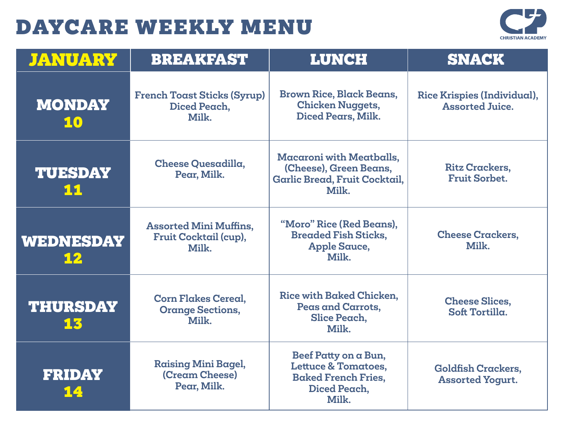

| <b>JANUARY</b>        | <b>BREAKFAST</b>                                                | <b>LUNCH</b>                                                                                                  | <b>SNACK</b>                                          |
|-----------------------|-----------------------------------------------------------------|---------------------------------------------------------------------------------------------------------------|-------------------------------------------------------|
| <b>MONDAY</b><br>10   | <b>French Toast Sticks (Syrup)</b><br>Diced Peach,<br>Milk.     | <b>Brown Rice, Black Beans,</b><br><b>Chicken Nuggets,</b><br>Diced Pears, Milk.                              | Rice Krispies (Individual),<br><b>Assorted Juice.</b> |
| <b>TUESDAY</b><br>11  | Cheese Quesadilla,<br>Pear, Milk.                               | <b>Macaroni with Meatballs,</b><br>(Cheese), Green Beans,<br>Garlic Bread, Fruit Cocktail,<br>Milk.           | <b>Ritz Crackers,</b><br><b>Fruit Sorbet.</b>         |
| WEDNESDAY<br>12       | <b>Assorted Mini Muffins,</b><br>Fruit Cocktail (cup),<br>Milk. | "Moro" Rice (Red Beans),<br><b>Breaded Fish Sticks,</b><br><b>Apple Sauce,</b><br>Milk.                       | <b>Cheese Crackers,</b><br>Milk.                      |
| <b>THURSDAY</b><br>13 | <b>Corn Flakes Cereal.</b><br><b>Orange Sections,</b><br>Milk.  | Rice with Baked Chicken.<br>Peas and Carrots,<br>Slice Peach,<br>Milk.                                        | <b>Cheese Slices.</b><br>Soft Tortilla.               |
| <b>FRIDAY</b><br>14   | <b>Raising Mini Bagel,</b><br>(Cream Cheese)<br>Pear, Milk.     | Beef Patty on a Bun,<br><b>Lettuce &amp; Tomatoes,</b><br><b>Baked French Fries.</b><br>Diced Peach,<br>Milk. | <b>Goldfish Crackers,</b><br><b>Assorted Yogurt.</b>  |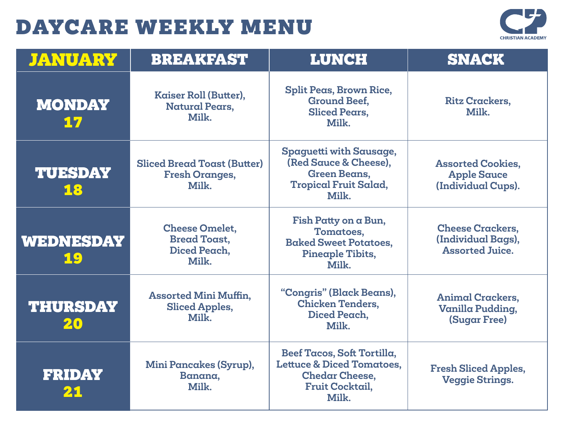

| <b>JANUARY</b>        | <b>BREAKFAST</b>                                                      | <b>LUNCH</b>                                                                                                                   | <b>SNACK</b>                                                            |
|-----------------------|-----------------------------------------------------------------------|--------------------------------------------------------------------------------------------------------------------------------|-------------------------------------------------------------------------|
| <b>MONDAY</b><br>17   | Kaiser Roll (Butter),<br><b>Natural Pears,</b><br>Milk.               | Split Peas, Brown Rice,<br><b>Ground Beef.</b><br><b>Sliced Pears.</b><br>Milk.                                                | <b>Ritz Crackers,</b><br>Milk.                                          |
| <b>TUESDAY</b><br>18  | <b>Sliced Bread Toast (Butter)</b><br><b>Fresh Oranges,</b><br>Milk.  | Spaguetti with Sausage,<br>(Red Sauce & Cheese).<br><b>Green Beans,</b><br><b>Tropical Fruit Salad,</b><br>Milk.               | <b>Assorted Cookies,</b><br><b>Apple Sauce</b><br>(Individual Cups).    |
| WEDNESDAY<br>19       | <b>Cheese Omelet,</b><br><b>Bread Toast,</b><br>Diced Peach.<br>Milk. | Fish Patty on a Bun,<br>Tomatoes,<br><b>Baked Sweet Potatoes,</b><br>Pineaple Tibits,<br>Milk.                                 | <b>Cheese Crackers,</b><br>(Individual Bags),<br><b>Assorted Juice.</b> |
| <b>THURSDAY</b><br>20 | <b>Assorted Mini Muffin,</b><br><b>Sliced Apples,</b><br>Milk.        | "Congris" (Black Beans),<br><b>Chicken Tenders,</b><br>Diced Peach,<br>Milk.                                                   | <b>Animal Crackers.</b><br>Vanilla Pudding,<br><b>(Sugar Free)</b>      |
| <b>FRIDAY</b><br>21   | Mini Pancakes (Syrup),<br>Banana,<br>Milk.                            | Beef Tacos, Soft Tortilla,<br><b>Lettuce &amp; Diced Tomatoes,</b><br><b>Chedar Cheese,</b><br><b>Fruit Cocktail,</b><br>Milk. | <b>Fresh Sliced Apples,</b><br><b>Veggie Strings.</b>                   |